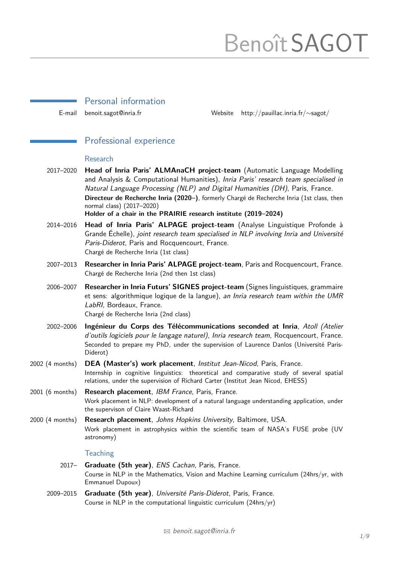# BenoîtSAGOT

|                 | Personal information                                                                                                                                                                                                                                                                                                                                                                                                                          |         |                                         |
|-----------------|-----------------------------------------------------------------------------------------------------------------------------------------------------------------------------------------------------------------------------------------------------------------------------------------------------------------------------------------------------------------------------------------------------------------------------------------------|---------|-----------------------------------------|
| E-mail          | benoit.sagot@inria.fr                                                                                                                                                                                                                                                                                                                                                                                                                         | Website | http://pauillac.inria.fr/ $\sim$ sagot/ |
|                 | Professional experience                                                                                                                                                                                                                                                                                                                                                                                                                       |         |                                         |
|                 | Research                                                                                                                                                                                                                                                                                                                                                                                                                                      |         |                                         |
| 2017-2020       | Head of Inria Paris' ALMAnaCH project-team (Automatic Language Modelling<br>and Analysis & Computational Humanities), Inria Paris' research team specialised in<br>Natural Language Processing (NLP) and Digital Humanities (DH), Paris, France.<br>Directeur de Recherche Inria (2020-), formerly Chargé de Recherche Inria (1st class, then<br>normal class) (2017-2020)<br>Holder of a chair in the PRAIRIE research institute (2019-2024) |         |                                         |
| 2014-2016       | Head of Inria Paris' ALPAGE project-team (Analyse Linguistique Profonde à<br>Grande Échelle), joint research team specialised in NLP involving Inria and Université<br>Paris-Diderot, Paris and Rocquencourt, France.<br>Chargé de Recherche Inria (1st class)                                                                                                                                                                                |         |                                         |
| 2007-2013       | Researcher in Inria Paris' ALPAGE project-team, Paris and Rocquencourt, France.<br>Chargé de Recherche Inria (2nd then 1st class)                                                                                                                                                                                                                                                                                                             |         |                                         |
| 2006-2007       | Researcher in Inria Futurs' SIGNES project-team (Signes linguistiques, grammaire<br>et sens: algorithmique logique de la langue), an Inria research team within the UMR<br>LabRI, Bordeaux, France.<br>Chargé de Recherche Inria (2nd class)                                                                                                                                                                                                  |         |                                         |
| 2002-2006       | Ingénieur du Corps des Télécommunications seconded at Inria, Atoll (Atelier<br>d'outils logiciels pour le langage naturel), Inria research team, Rocquencourt, France.<br>Seconded to prepare my PhD, under the supervision of Laurence Danlos (Université Paris-<br>Diderot)                                                                                                                                                                 |         |                                         |
| 2002 (4 months) | DEA (Master's) work placement, Institut Jean-Nicod, Paris, France.<br>Internship in cognitive linguistics: theoretical and comparative study of several spatial<br>relations, under the supervision of Richard Carter (Institut Jean Nicod, EHESS)                                                                                                                                                                                            |         |                                         |
| 2001 (6 months) | Research placement, IBM France, Paris, France.<br>Work placement in NLP: development of a natural language understanding application, under<br>the supervison of Claire Waast-Richard                                                                                                                                                                                                                                                         |         |                                         |
| 2000 (4 months) | Research placement, Johns Hopkins University, Baltimore, USA.<br>Work placement in astrophysics within the scientific team of NASA's FUSE probe (UV<br>astronomy)                                                                                                                                                                                                                                                                             |         |                                         |
|                 | <b>Teaching</b>                                                                                                                                                                                                                                                                                                                                                                                                                               |         |                                         |
| $2017 -$        | Graduate (5th year), ENS Cachan, Paris, France.<br>Course in NLP in the Mathematics, Vision and Machine Learning curriculum (24hrs/yr, with<br>Emmanuel Dupoux)                                                                                                                                                                                                                                                                               |         |                                         |
| 2009-2015       | Graduate (5th year), Université Paris-Diderot, Paris, France.<br>Course in NLP in the computational linguistic curriculum (24hrs/yr)                                                                                                                                                                                                                                                                                                          |         |                                         |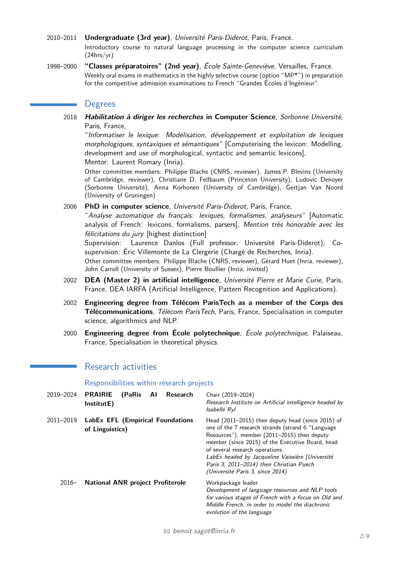- 2010–2011 **Undergraduate (3rd year)**, Université Paris-Diderot, Paris, France. Introductory course to natural language processing in the computer science curriculum (24hrs/yr)
- 1998–2000 **"Classes préparatoires" (2nd year)**, École Sainte-Geneviève, Versailles, France. Weekly oral exams in mathematics in the highly selective course (option "MP\*") in preparation for the competitive admission examinations to French "Grandes Écoles d'Ingénieur"

#### **Degrees**

2018 **Habilitation à diriger les recherches in Computer Science**, Sorbonne Université, Paris, France,

"Informatiser le lexique: Modélisation, développement et exploitation de lexiques morphologiques, syntaxiques et sémantiques" [Computerising the lexicon: Modelling, development and use of morphological, syntactic and semantic lexicons],

Mentor: Laurent Romary (Inria).

Other committee members: Philippe Blache (CNRS, reviewer), James P. Blevins (University of Cambridge, reviewer), Christiane D. Fellbaum (Princeton University), Ludovic Denoyer (Sorbonne Université), Anna Korhonen (University of Cambridge), Gertjan Van Noord (University of Groningen)

2006 **PhD in computer science**, Université Paris-Diderot, Paris, France,

"Analyse automatique du français: lexiques, formalismes, analyseurs" [Automatic analysis of French: lexicons, formalisms, parsers], Mention très honorable avec les félicitations du jury [highest distinction]

Supervision: Laurence Danlos (Full professor, Université Paris-Diderot); Cosupervision: Éric Villemonte de La Clergerie (Chargé de Recherches, Inria).

Other committee members: Philippe Blache (CNRS, reviewer), Gérard Huet (Inria, reviewer), John Carroll (University of Sussex), Pierre Boullier (Inria, invited)

- 2002 **DEA (Master 2) in artificial intelligence**, Université Pierre et Marie Curie, Paris, France, DEA IARFA (Artificial Intelligence, Pattern Recognition and Applications).
- 2002 **Engineering degree from Télécom ParisTech as a member of the Corps des Télécommunications**, Télécom ParisTech, Paris, France, Specialisation in computer science, algorithmics and NLP.
- 2000 **Engineering degree from École polytechnique**, École polytechnique, Palaiseau, France, Specialisation in theoretical physics.

## Research activities

Responsibilities within research projects

| 2019-2024 | <b>PRAIRIE</b><br>(PaRis<br>Al<br>Research<br>InstitutE) | Chair (2019-2024)<br>Research Institute on Artificial intelligence headed by<br>Isabelle Ryl                                                                                                                                                                                                                                                                                     |
|-----------|----------------------------------------------------------|----------------------------------------------------------------------------------------------------------------------------------------------------------------------------------------------------------------------------------------------------------------------------------------------------------------------------------------------------------------------------------|
| 2011-2019 | LabEx EFL (Empirical Foundations<br>of Linguistics)      | Head (2011–2015) then deputy head (since 2015) of<br>one of the 7 research strands (strand 6 "Language<br>Resources"), member (2011-2015) then deputy<br>member (since 2015) of the Executive Board, head<br>of several research operations.<br>LabEx headed by Jacqueline Vaissière (Université<br>Paris 3, 2011–2014) then Christian Puech<br>(Université Paris 3, since 2014) |
| $2016-$   | <b>National ANR project Profiterole</b>                  | Workpackage leader<br>Development of language resources and NLP tools<br>for various stages of French with a focus on Old and<br>Middle French, in order to model the diachronic<br>evolution of the language                                                                                                                                                                    |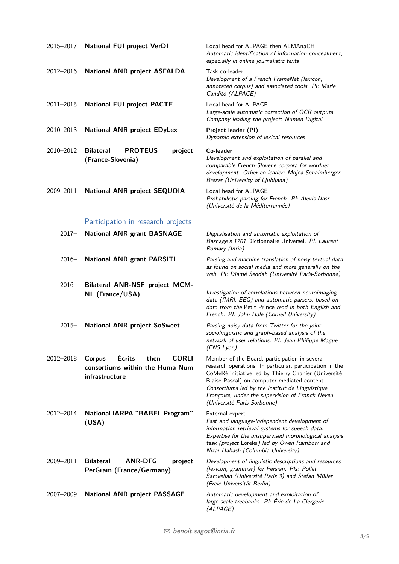| 2015-2017 | <b>National FUI project VerDI</b>                                                                    | Local head for ALPAGE then ALMAnaCH<br>Automatic identification of information concealment.<br>especially in online journalistic texts                                                                                                                                                                                                                 |
|-----------|------------------------------------------------------------------------------------------------------|--------------------------------------------------------------------------------------------------------------------------------------------------------------------------------------------------------------------------------------------------------------------------------------------------------------------------------------------------------|
| 2012-2016 | <b>National ANR project ASFALDA</b>                                                                  | Task co-leader<br>Development of a French FrameNet (lexicon,<br>annotated corpus) and associated tools. Pl: Marie<br>Candito (ALPAGE)                                                                                                                                                                                                                  |
| 2011-2015 | <b>National FUI project PACTE</b>                                                                    | Local head for ALPAGE<br>Large-scale automatic correction of OCR outputs.<br>Company leading the project: Numen Digital                                                                                                                                                                                                                                |
| 2010-2013 | <b>National ANR project EDyLex</b>                                                                   | Project leader (PI)<br>Dynamic extension of lexical resources                                                                                                                                                                                                                                                                                          |
| 2010-2012 | <b>PROTEUS</b><br><b>Bilateral</b><br>project<br>(France-Slovenia)                                   | Co-leader<br>Development and exploitation of parallel and<br>comparable French-Slovene corpora for wordnet<br>development. Other co-leader: Mojca Schalmberger<br>Brezar (University of Ljubljana)                                                                                                                                                     |
| 2009-2011 | <b>National ANR project SEQUOIA</b>                                                                  | Local head for ALPAGE<br>Probabilistic parsing for French. PI: Alexis Nasr<br>(Université de la Méditerrannée)                                                                                                                                                                                                                                         |
|           | Participation in research projects                                                                   |                                                                                                                                                                                                                                                                                                                                                        |
| $2017 -$  | <b>National ANR grant BASNAGE</b>                                                                    | Digitalisation and automatic exploitation of<br>Basnage's 1701 Dictionnaire Universel. Pl: Laurent<br>Romary (Inria)                                                                                                                                                                                                                                   |
| $2016 -$  | <b>National ANR grant PARSITI</b>                                                                    | Parsing and machine translation of noisy textual data<br>as found on social media and more generally on the<br>web. Pl: Djamé Seddah (Université Paris-Sorbonne)                                                                                                                                                                                       |
| $2016 -$  | <b>Bilateral ANR-NSF project MCM-</b><br><b>NL</b> (France/USA)                                      | Investigation of correlations between neuroimaging<br>data (fMRI, EEG) and automatic parsers, based on<br>data from the Petit Prince read in both English and<br>French. PI: John Hale (Cornell University)                                                                                                                                            |
| $2015 -$  | <b>National ANR project SoSweet</b>                                                                  | Parsing noisy data from Twitter for the joint<br>sociolinguistic and graph-based analysis of the<br>network of user relations. Pl: Jean-Philippe Magué<br>(ENS Lyon)                                                                                                                                                                                   |
| 2012-2018 | Écrits<br><b>Corpus</b><br>then<br><b>CORLI</b><br>consortiums within the Huma-Num<br>infrastructure | Member of the Board, participation in several<br>research operations. In particular, participation in the<br>CoMéRé initiative led by Thierry Chanier (Université<br>Blaise-Pascal) on computer-mediated content<br>Consortiums led by the Institut de Linguistique<br>Française, under the supervision of Franck Neveu<br>(Université Paris-Sorbonne) |
| 2012-2014 | <b>National IARPA "BABEL Program"</b><br>(USA)                                                       | External expert<br>Fast and language-independent development of<br>information retrieval systems for speech data.<br>Expertise for the unsupervised morphological analysis<br>task (project Lorelei) led by Owen Rambow and<br>Nizar Habash (Columbia University)                                                                                      |
| 2009-2011 | <b>Bilateral</b><br><b>ANR-DFG</b><br>project<br>PerGram (France/Germany)                            | Development of linguistic descriptions and resources<br>(lexicon, grammar) for Persian. Pls: Pollet<br>Samvelian (Université Paris 3) and Stefan Müller<br>(Freie Universität Berlin)                                                                                                                                                                  |
| 2007-2009 | <b>National ANR project PASSAGE</b>                                                                  | Automatic development and exploitation of<br>large-scale treebanks. Pl: Éric de La Clergerie<br>(ALPAGE)                                                                                                                                                                                                                                               |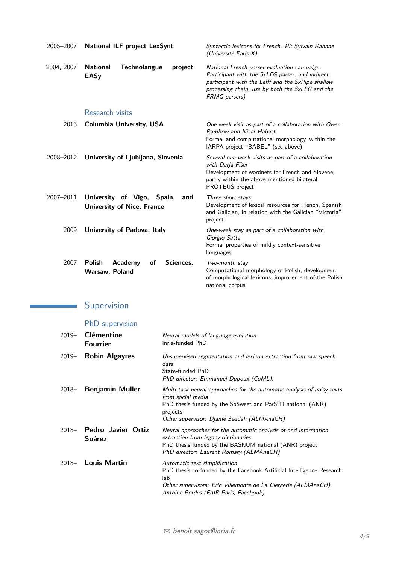| 2005-2007  | <b>National ILF project LexSynt</b>                                       | Syntactic lexicons for French. Pl: Sylvain Kahane<br>(Université Paris X)                                                                                                                                               |
|------------|---------------------------------------------------------------------------|-------------------------------------------------------------------------------------------------------------------------------------------------------------------------------------------------------------------------|
| 2004, 2007 | <b>National</b><br><b>Technolangue</b><br>project<br><b>EASy</b>          | National French parser evaluation campaign.<br>Participant with the SxLFG parser, and indirect<br>participant with the Lefff and the SxPipe shallow<br>processing chain, use by both the SxLFG and the<br>FRMG parsers) |
|            | Research visits                                                           |                                                                                                                                                                                                                         |
| 2013       | <b>Columbia University, USA</b>                                           | One-week visit as part of a collaboration with Owen<br>Rambow and Nizar Habash<br>Formal and computational morphology, within the<br>IARPA project "BABEL" (see above)                                                  |
| 2008-2012  | University of Ljubljana, Slovenia                                         | Several one-week visits as part of a collaboration<br>with Darja Fišer<br>Development of wordnets for French and Slovene,<br>partly within the above-mentioned bilateral<br>PROTEUS project                             |
| 2007-2011  | University of Vigo,<br>Spain,<br>and<br><b>University of Nice, France</b> | Three short stays<br>Development of lexical resources for French, Spanish<br>and Galician, in relation with the Galician "Victoria"<br>project                                                                          |
| 2009       | University of Padova, Italy                                               | One-week stay as part of a collaboration with<br>Giorgio Satta<br>Formal properties of mildly context-sensitive<br>languages                                                                                            |
| 2007       | <b>Academy</b><br><b>Polish</b><br>οf<br>Sciences.<br>Warsaw, Poland      | Two-month stay<br>Computational morphology of Polish, development<br>of morphological lexicons, improvement of the Polish<br>national corpus                                                                            |

#### Supervision  $\label{eq:2.1} \frac{1}{\sqrt{2}}\left(\frac{1}{\sqrt{2}}\right)^{2} \left(\frac{1}{\sqrt{2}}\right)^{2} \left(\frac{1}{\sqrt{2}}\right)^{2} \left(\frac{1}{\sqrt{2}}\right)^{2} \left(\frac{1}{\sqrt{2}}\right)^{2} \left(\frac{1}{\sqrt{2}}\right)^{2} \left(\frac{1}{\sqrt{2}}\right)^{2} \left(\frac{1}{\sqrt{2}}\right)^{2} \left(\frac{1}{\sqrt{2}}\right)^{2} \left(\frac{1}{\sqrt{2}}\right)^{2} \left(\frac{1}{\sqrt{2}}\right)^{2} \left(\$

# PhD supervision

| $2019-$  | <b>Clémentine</b><br><b>Fourrier</b>       | Neural models of language evolution<br>Inria-funded PhD                                                                                                                                                                  |
|----------|--------------------------------------------|--------------------------------------------------------------------------------------------------------------------------------------------------------------------------------------------------------------------------|
| $2019 -$ | <b>Robin Algayres</b>                      | Unsupervised segmentation and lexicon extraction from raw speech<br>data<br>State-funded PhD<br>PhD director: Emmanuel Dupoux (CoML).                                                                                    |
| $2018 -$ | Benjamin Muller                            | Multi-task neural approaches for the automatic analysis of noisy texts<br>from social media<br>PhD thesis funded by the SoSweet and ParSiTi national (ANR)<br>projects<br>Other supervisor: Djamé Seddah (ALMAnaCH)      |
| $2018 -$ | <b>Pedro Javier Ortiz</b><br><b>Suárez</b> | Neural approaches for the automatic analysis of and information<br>extraction from legacy dictionaries<br>PhD thesis funded by the BASNUM national (ANR) project<br>PhD director: Laurent Romary (ALMAnaCH)              |
| $2018 -$ | Louis Martin                               | Automatic text simplification<br>PhD thesis co-funded by the Facebook Artificial Intelligence Research<br>lab<br>Other supervisors: Éric Villemonte de La Clergerie (ALMAnaCH),<br>Antoine Bordes (FAIR Paris, Facebook) |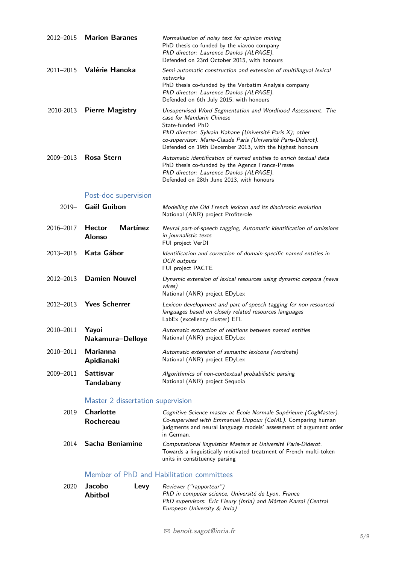|           | 2012-2015 Marion Baranes  | Normalisation of noisy text for opinion mining<br>PhD thesis co-funded by the viavoo company<br>PhD director: Laurence Danlos (ALPAGE).<br>Defended on 23rd October 2015, with honours                                                                                                                |
|-----------|---------------------------|-------------------------------------------------------------------------------------------------------------------------------------------------------------------------------------------------------------------------------------------------------------------------------------------------------|
|           | 2011-2015 Valérie Hanoka  | Semi-automatic construction and extension of multilingual lexical<br>networks<br>PhD thesis co-funded by the Verbatim Analysis company<br>PhD director: Laurence Danlos (ALPAGE).<br>Defended on 6th July 2015, with honours                                                                          |
|           | 2010-2013 Pierre Magistry | Unsupervised Word Segmentation and Wordhood Assessment. The<br>case for Mandarin Chinese<br>State-funded PhD<br>PhD director: Sylvain Kahane (Université Paris X); other<br>co-supervisor: Marie-Claude Paris (Université Paris-Diderot).<br>Defended on 19th December 2013, with the highest honours |
| 2009-2013 | <b>Rosa Stern</b>         | Automatic identification of named entities to enrich textual data<br>PhD thesis co-funded by the Agence France-Presse<br>PhD director: Laurence Danlos (ALPAGE).<br>Defended on 28th June 2013, with honours                                                                                          |

# Post-doc supervision

| $2019-$   | Gaël Guibon                                       | Modelling the Old French lexicon and its diachronic evolution<br>National (ANR) project Profiterole                                                          |
|-----------|---------------------------------------------------|--------------------------------------------------------------------------------------------------------------------------------------------------------------|
| 2016-2017 | <b>Martínez</b><br><b>Hector</b><br><b>Alonso</b> | Neural part-of-speech tagging, Automatic identification of omissions<br>in journalistic texts<br>FUI project VerDI                                           |
| 2013-2015 | Kata Gábor                                        | Identification and correction of domain-specific named entities in<br><b>OCR</b> outputs<br>FUI project PACTE                                                |
|           | 2012-2013 Damien Nouvel                           | Dynamic extension of lexical resources using dynamic corpora (news<br>wires)<br>National (ANR) project EDyLex                                                |
|           | 2012-2013 Yves Scherrer                           | Lexicon development and part-of-speech tagging for non-resourced<br>languages based on closely related resources languages<br>LabEx (excellency cluster) EFL |
| 2010-2011 | Yayoi<br>Nakamura-Delloye                         | Automatic extraction of relations between named entities<br>National (ANR) project EDyLex                                                                    |
| 2010-2011 | Marianna<br>Apidianaki                            | Automatic extension of semantic lexicons (wordnets)<br>National (ANR) project EDyLex                                                                         |
| 2009-2011 | <b>Sattisvar</b><br><b>Tandabany</b>              | Algorithmics of non-contextual probabilistic parsing<br>National (ANR) project Sequoia                                                                       |
|           | Marchan Ordinary and an increase the co           |                                                                                                                                                              |

#### Master 2 dissertation supervision

| 2019 | <b>Charlotte</b>     | Cognitive Science master at École Normale Supérieure (CogMaster).                                                                                                     |
|------|----------------------|-----------------------------------------------------------------------------------------------------------------------------------------------------------------------|
|      | Rochereau            | Co-supervised with Emmanuel Dupoux (CoML). Comparing human<br>judgments and neural language models' assessment of argument order<br>in German.                        |
|      | 2014 Sacha Beniamine | Computational linguistics Masters at Université Paris-Diderot.<br>Towards a linguistically motivated treatment of French multi-token<br>units in constituency parsing |

## Member of PhD and Habilitation committees

| 2020 | Jacobo         | Levy | Reviewer ("rapporteur")                                         |
|------|----------------|------|-----------------------------------------------------------------|
|      | <b>Abitbol</b> |      | PhD in computer science, Université de Lyon, France             |
|      |                |      | PhD supervisors: Éric Fleury (Inria) and Márton Karsai (Central |
|      |                |      | European University & Inria)                                    |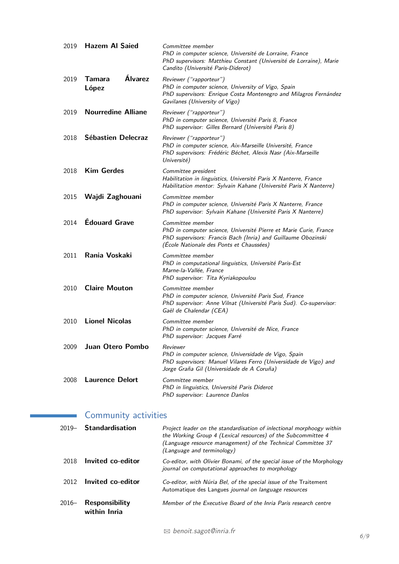| 2019 | <b>Hazem Al Saied</b>      | Committee member<br>PhD in computer science, Université de Lorraine, France<br>PhD supervisors: Matthieu Constant (Université de Lorraine), Marie<br>Candito (Université Paris-Diderot)            |
|------|----------------------------|----------------------------------------------------------------------------------------------------------------------------------------------------------------------------------------------------|
| 2019 | Álvarez<br>Tamara<br>López | Reviewer ("rapporteur")<br>PhD in computer science, University of Vigo, Spain<br>PhD supervisors: Enrique Costa Montenegro and Milagros Fernández<br>Gavilanes (University of Vigo)                |
| 2019 | <b>Nourredine Alliane</b>  | Reviewer ("rapporteur")<br>PhD in computer science, Université Paris 8, France<br>PhD supervisor: Gilles Bernard (Université Paris 8)                                                              |
| 2018 | Sébastien Delecraz         | Reviewer ("rapporteur")<br>PhD in computer science, Aix-Marseille Université, France<br>PhD supervisors: Frédéric Béchet, Alexis Nasr (Aix-Marseille<br>Université)                                |
| 2018 | <b>Kim Gerdes</b>          | Committee president<br>Habilitation in linguistics, Université Paris X Nanterre, France<br>Habilitation mentor: Sylvain Kahane (Université Paris X Nanterre)                                       |
| 2015 | Wajdi Zaghouani            | Committee member<br>PhD in computer science, Université Paris X Nanterre, France<br>PhD supervisor: Sylvain Kahane (Université Paris X Nanterre)                                                   |
| 2014 | <b>Édouard Grave</b>       | Committee member<br>PhD in computer science, Université Pierre et Marie Curie, France<br>PhD supervisors: Francis Bach (Inria) and Guillaume Obozinski<br>(École Nationale des Ponts et Chaussées) |
| 2011 | Rania Voskaki              | Committee member<br>PhD in computational linguistics, Université Paris-Est<br>Marne-la-Vallée, France<br>PhD supervisor: Tita Kyriakopoulou                                                        |
| 2010 | <b>Claire Mouton</b>       | Committee member<br>PhD in computer science, Université Paris Sud, France<br>PhD supervisor: Anne Vilnat (Université Paris Sud). Co-supervisor:<br>Gaël de Chalendar (CEA)                         |
| 2010 | <b>Lionel Nicolas</b>      | Committee member<br>PhD in computer science, Université de Nice, France<br>PhD supervisor: Jacques Farré                                                                                           |
| 2009 | Juan Otero Pombo           | Reviewer<br>PhD in computer science, Universidade de Vigo, Spain<br>PhD supervisors: Manuel Vilares Ferro (Universidade de Vigo) and<br>Jorge Graña Gil (Universidade de A Coruña)                 |
| 2008 | <b>Laurence Delort</b>     | Committee member<br>PhD in linguistics, Université Paris Diderot<br>PhD supervisor: Laurence Danlos                                                                                                |

# **Community activities**

| $2019 -$ | <b>Standardisation</b>         | Project leader on the standardisation of inlectional morphoogy within<br>the Working Group 4 (Lexical resources) of the Subcommittee 4<br>(Language resource management) of the Technical Committee 37<br>(Language and terminology) |
|----------|--------------------------------|--------------------------------------------------------------------------------------------------------------------------------------------------------------------------------------------------------------------------------------|
| 2018     | Invited co-editor              | Co-editor, with Olivier Bonami, of the special issue of the Morphology<br>journal on computational approaches to morphology                                                                                                          |
| 2012     | Invited co-editor              | Co-editor, with Núria Bel, of the special issue of the Traitement<br>Automatique des Langues journal on language resources                                                                                                           |
| $2016-$  | Responsibility<br>within Inria | Member of the Executive Board of the Inria Paris research centre                                                                                                                                                                     |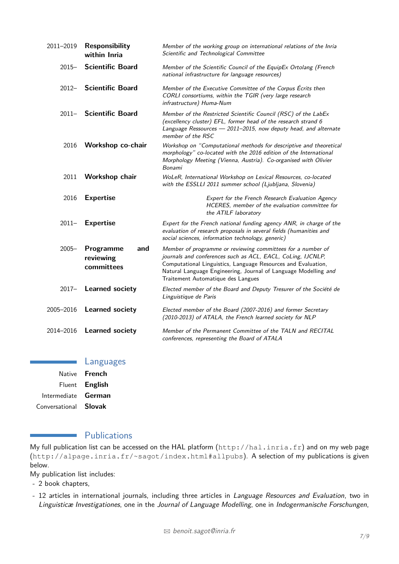| 2011-2019 | <b>Responsibility</b><br>within Inria       | Member of the working group on international relations of the Inria<br>Scientific and Technological Committee                                                                                                                                                                                        |
|-----------|---------------------------------------------|------------------------------------------------------------------------------------------------------------------------------------------------------------------------------------------------------------------------------------------------------------------------------------------------------|
| $2015 -$  | <b>Scientific Board</b>                     | Member of the Scientific Council of the EquipEx Ortolang (French<br>national infrastructure for language resources)                                                                                                                                                                                  |
|           | 2012- Scientific Board                      | Member of the Executive Committee of the Corpus Écrits then<br>CORLI consortiums, within the TGIR (very large research<br>infrastructure) Huma-Num                                                                                                                                                   |
|           | 2011- Scientific Board                      | Member of the Restricted Scientific Council (RSC) of the LabEx<br>(excellency cluster) EFL, former head of the research strand 6<br>Language Ressources - 2011-2015, now deputy head, and alternate<br>member of the RSC                                                                             |
| 2016      | Workshop co-chair                           | Workshop on "Computational methods for descriptive and theoretical<br>morphology" co-located with the 2016 edition of the International<br>Morphology Meeting (Vienna, Austria). Co-organised with Olivier<br>Bonami                                                                                 |
| 2011      | Workshop chair                              | WoLeR, International Workshop on Lexical Resources, co-located<br>with the ESSLLI 2011 summer school (Ljubljana, Slovenia)                                                                                                                                                                           |
| 2016      | <b>Expertise</b>                            | Expert for the French Research Evaluation Agency<br>HCERES, member of the evaluation committee for<br>the ATILF laboratory                                                                                                                                                                           |
| $2011 -$  | <b>Expertise</b>                            | Expert for the French national funding agency ANR, in charge of the<br>evaluation of research proposals in several fields (humanities and<br>social sciences, information technology, generic)                                                                                                       |
| $2005 -$  | Programme<br>and<br>reviewing<br>committees | Member of programme or reviewing committees for a number of<br>journals and conferences such as ACL, EACL, CoLing, IJCNLP,<br>Computational Linguistics, Language Resources and Evaluation,<br>Natural Language Engineering, Journal of Language Modelling and<br>Traitement Automatique des Langues |
| $2017 -$  | <b>Learned society</b>                      | Elected member of the Board and Deputy Tresurer of the Société de<br>Linguistique de Paris                                                                                                                                                                                                           |
| 2005-2016 | <b>Learned society</b>                      | Elected member of the Board (2007-2016) and former Secretary<br>(2010-2013) of ATALA, the French learned society for NLP                                                                                                                                                                             |
| 2014-2016 | <b>Learned society</b>                      | Member of the Permanent Committee of the TALN and RECITAL<br>conferences, representing the Board of ATALA                                                                                                                                                                                            |

Languages Native **French** Fluent **English** Intermediate **German**

Conversational **Slovak**

# <span id="page-6-0"></span>**Publications**

My full publication list can be accessed on the HAL platform (<http://hal.inria.fr>) and on my web page (<http://alpage.inria.fr/~sagot/index.html#allpubs>). A selection of my publications is given below.

My publication list includes:

 $\sim$ 

- 2 book chapters,
- 12 articles in international journals, including three articles in Language Resources and Evaluation, two in Linguisticæ Investigationes, one in the Journal of Language Modelling, one in Indogermanische Forschungen,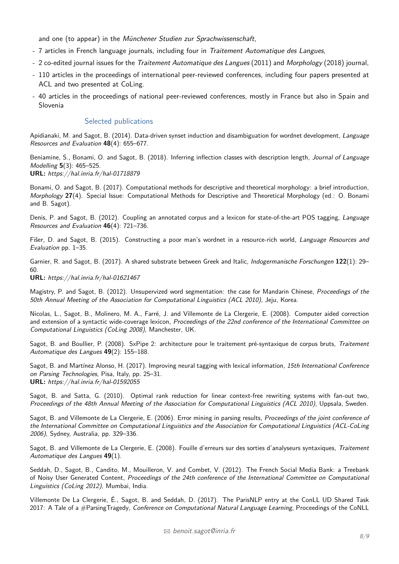and one (to appear) in the Münchener Studien zur Sprachwissenschaft,

- 7 articles in French language journals, including four in *Traitement Automatique des Langues*,
- 2 co-edited journal issues for the *Traitement Automatique des Langues* (2011) and *Morphology* (2018) journal,
- 110 articles in the proceedings of international peer-reviewed conferences, including four papers presented at ACL and two presented at CoLing.
- 40 articles in the proceedings of national peer-reviewed conferences, mostly in France but also in Spain and Slovenia

#### Selected publications

Apidianaki, M. and Sagot, B. (2014). Data-driven synset induction and disambiguation for wordnet development, Language Resources and Evaluation **48**(4): 655–677.

Beniamine, S., Bonami, O. and Sagot, B. (2018). Inferring inflection classes with description length, Journal of Language Modelling **5**(3): 465–525.

**URL:** https://hal.inria.fr/hal-01718879

Bonami, O. and Sagot, B. (2017). Computational methods for descriptive and theoretical morphology: a brief introduction, Morphology **27**(4). Special Issue: Computational Methods for Descriptive and Theoretical Morphology (ed.: O. Bonami and B. Sagot).

Denis, P. and Sagot, B. (2012). Coupling an annotated corpus and a lexicon for state-of-the-art POS tagging, Language Resources and Evaluation **46**(4): 721–736.

Fišer, D. and Sagot, B. (2015). Constructing a poor man's wordnet in a resource-rich world, Language Resources and Evaluation pp. 1–35.

Garnier, R. and Sagot, B. (2017). A shared substrate between Greek and Italic, Indogermanische Forschungen **122**(1): 29–  $60$ 

**URL:** https://hal.inria.fr/hal-01621467

Magistry, P. and Sagot, B. (2012). Unsupervized word segmentation: the case for Mandarin Chinese. Proceedings of the 50th Annual Meeting of the Association for Computational Linguistics (ACL 2010), Jeju, Korea.

Nicolas, L., Sagot, B., Molinero, M. A., Farré, J. and Villemonte de La Clergerie, E. (2008). Computer aided correction and extension of a syntactic wide-coverage lexicon, Proceedings of the 22nd conference of the International Committee on Computational Linguistics (CoLing 2008), Manchester, UK.

Sagot, B. and Boullier, P. (2008). SxPipe 2: architecture pour le traitement pré-syntaxique de corpus bruts, Traitement Automatique des Langues **49**(2): 155–188.

Sagot, B. and Martínez Alonso, H. (2017). Improving neural tagging with lexical information, 15th International Conference on Parsing Technologies, Pisa, Italy, pp. 25–31. **URL:** https://hal.inria.fr/hal-01592055

Sagot, B. and Satta, G. (2010). Optimal rank reduction for linear context-free rewriting systems with fan-out two, Proceedings of the 48th Annual Meeting of the Association for Computational Linguistics (ACL 2010), Uppsala, Sweden.

Sagot, B. and Villemonte de La Clergerie, E. (2006). Error mining in parsing results, Proceedings of the joint conference of the International Committee on Computational Linguistics and the Association for Computational Linguistics (ACL-CoLing 2006), Sydney, Australia, pp. 329–336.

Sagot, B. and Villemonte de La Clergerie, E. (2008). Fouille d'erreurs sur des sorties d'analyseurs syntaxiques, Traitement Automatique des Langues **49**(1).

Seddah, D., Sagot, B., Candito, M., Mouilleron, V. and Combet, V. (2012). The French Social Media Bank: a Treebank of Noisy User Generated Content, Proceedings of the 24th conference of the International Committee on Computational Linguistics (CoLing 2012), Mumbai, India.

Villemonte De La Clergerie, É., Sagot, B. and Seddah, D. (2017). The ParisNLP entry at the ConLL UD Shared Task 2017: A Tale of a #ParsingTragedy, Conference on Computational Natural Language Learning, Proceedings of the CoNLL